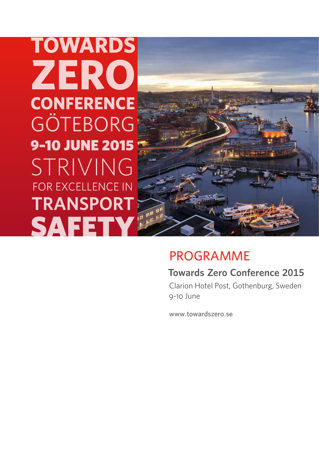**TOWARDS** ZERO **CONFERENCE** GÖTEBORG **9-10 JUNE 2015** STRIVING FOR EXCELLENCE IN **TRANSPORT SAFETY** 



# PROGRAMME

# **Towards Zero Conference 2015**

Clarion Hotel Post, Gothenburg, Sweden 9-10 June

www.towardszero.se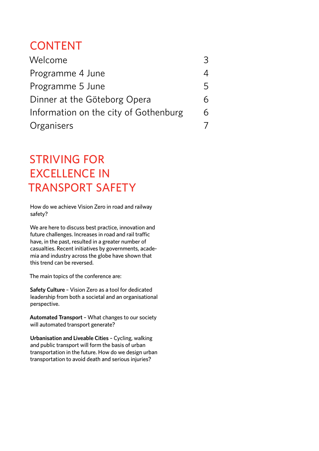# CONTENT

| Welcome                               | 3 |
|---------------------------------------|---|
| Programme 4 June                      | 4 |
| Programme 5 June                      | 5 |
| Dinner at the Göteborg Opera          | 6 |
| Information on the city of Gothenburg | 6 |
| Organisers                            | 7 |

# Striving for excellence in transport safety

How do we achieve Vision Zero in road and railway safety?

We are here to discuss best practice, innovation and future challenges. Increases in road and rail traffic have, in the past, resulted in a greater number of casualties. Recent initiatives by governments, academia and industry across the globe have shown that this trend can be reversed.

The main topics of the conference are:

**Safety Culture** – Vision Zero as a tool for dedicated leadership from both a societal and an organisational perspective.

**Automated Transport** – What changes to our society will automated transport generate?

**Urbanisation and Liveable Cities** – Cycling, walking and public transport will form the basis of urban transportation in the future. How do we design urban transportation to avoid death and serious injuries?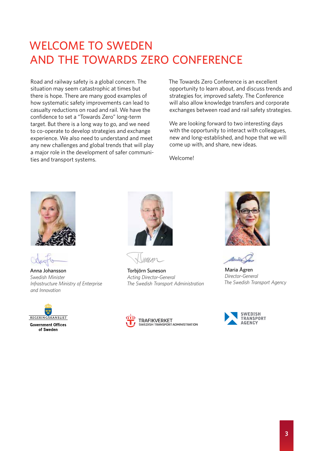# WELCOME TO SWEDEN and the Towards Zero Conference

Road and railway safety is a global concern. The situation may seem catastrophic at times but there is hope. There are many good examples of how systematic safety improvements can lead to casualty reductions on road and rail. We have the confidence to set a "Towards Zero" long-term target. But there is a long way to go, and we need to co-operate to develop strategies and exchange experience. We also need to understand and meet any new challenges and global trends that will play a major role in the development of safer communities and transport systems.

The Towards Zero Conference is an excellent opportunity to learn about, and discuss trends and strategies for, improved safety. The Conference will also allow knowledge transfers and corporate exchanges between road and rail safety strategies.

We are looking forward to two interesting days with the opportunity to interact with colleagues, new and long-established, and hope that we will come up with, and share, new ideas.

Welcome!



Anna Johansson *Swedish Minister Infrastructure Ministry of Enterprise and Innovation*





Torbjörn Suneson *Acting Director-General The Swedish Transport Administration*



Maria Ågren *Director-General The Swedish Transport Agency*



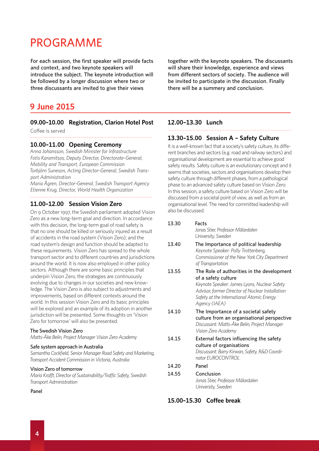# PROGRAMME

For each session, the first speaker will provide facts and context, and two keynote speakers will introduce the subject. The keynote introduction will be followed by a longer discussion where two or three discussants are invited to give their views

### **9 June 2015**

### **09.00–10.00 Registration, Clarion Hotel Post**

Coffee is served

#### **10.00–11.00 Opening Ceremony**

*Anna Johansson, Swedish Minister for Infrastructure Fotis Karamitsos, Deputy Director, Directorate-General, Mobility and Transport, European Commission Torbjörn Suneson, Acting Director-General, Swedish Transport Administration*

*Maria Ågren, Director-General, Swedish Transport Agency Etienne Krug, Director, World Health Organization* 

#### **11.00–12.00 Session Vision Zero**

On 9 October 1997, the Swedish parliament adopted Vision Zero as a new long-term goal and direction. In accordance with this decision, the long-term goal of road safety is that no one should be killed or seriously injured as a result of accidents in the road system (Vision Zero); and the road system's design and function should be adapted to these requirements. Vision Zero has spread to the whole transport sector and to different countries and jurisdictions around the world. It is now also employed in other policy sectors. Although there are some basic principles that underpin Vision Zero, the strategies are continuously evolving due to changes in our societies and new knowledge. The Vision Zero is also subject to adjustments and improvements, based on different contexts around the world. In this session Vision Zero and its basic principles will be explored and an example of its adoption in another jurisdiction will be presented. Some thoughts on 'Vision Zero for tomorrow' will also be presented.

#### The Swedish Vision Zero

*Matts-Åke Belin, Project Manager Vision Zero Academy*

#### Safe system approach in Australia

*Samantha Cockfield, Senior Manager Road Safety and Marketing, Transport Accident Commission in Victoria, Australia*

#### Vision Zero of tomorrow

*Maria Krafft, Director of Sustainability/Traffic Safety, Swedish Transport Administration*

Panel

together with the keynote speakers. The discussants will share their knowledge, experience and views from different sectors of society. The audience will be invited to participate in the discussion. Finally there will be a summery and conclusion.

#### **12.00–13.30 Lunch**

### **13.30–15.00 Session A – Safety Culture**

It is a well-known fact that a society's safety culture, its different branches and sectors (e.g. road and railway sectors) and organisational development are essential to achieve good safety results. Safety culture is an evolutionary concept and it seems that societies, sectors and organisations develop their safety culture through different phases, from a pathological phase to an advanced safety culture based on Vision Zero. In this session, a safety culture based on Vision Zero will be discussed from a societal point of view, as well as from an organisational level. The need for committed leadership will also be discussed.

13.30 Facts *Jonas Stier, Professor Mälardalen University, Sweden* 13.40 The Importance of political leadership  *Keynote Speaker: Polly Trottenberg, Commissioner of the New York City Department of Transportation* 13.55 The Role of authorities in the development of a safety culture *Keynote Speaker: James Lyons, Nuclear Safety Advisor, former Director of Nuclear Installation* 

 *Safety at the International Atomic Energy Agency (IAEA)*

- 14.10 The Importance of a societal safety culture from an organisational perspective *Discussant: Matts-Åke Belin, Project Manager Vision Zero Academy*
- 14.15 External factors influencing the safety culture of organisations  *Discussant: Barry Kirwan, Safety, R&D Coordi nator EUROCONTROL*
- 14.20 Panel
- 14.55 Conclusion  *Jonas Stier, Professor Mälardalen University, Sweden*

### **15.00–15.30 Coffee break**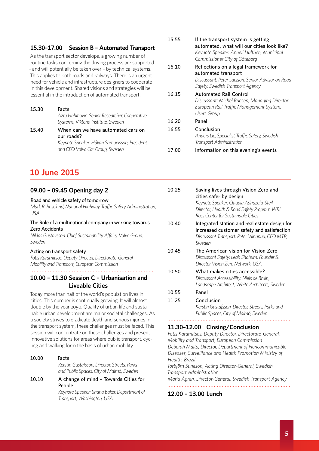#### **15.30–17.00 Session B – Automated Transport**

As the transport sector develops, a growing number of routine tasks concerning the driving process are supported – and will potentially be taken over – by technical systems. This applies to both roads and railways. There is an urgent need for vehicle and infrastructure designers to cooperate in this development. Shared visions and strategies will be essential in the introduction of automated transport.

15.30 Facts  *Azra Habibovic, Senior Researcher, Cooperative Systems, Viktoria Institute, Sweden* 15.40 When can we have automated cars on

 our roads?  *Keynote Speaker: Håkan Samuelsson, President and CEO Volvo Car Group, Sweden*

## **10 June 2015**

#### **09.00 – 09.45 Opening day 2**

#### Road and vehicle safety of tomorrow

*Mark R. Rosekind, National Highway Traffic Safety Administration, USA*

#### The Role of a multinational company in working towards Zero Accidents

*Niklas Gustavsson, Chief Sustainability Affairs, Volvo Group, Sweden*

#### Acting on transport safety

*Fotis Karamitsos, Deputy Director, Directorate-General, Mobility and Transport, European Commission*

### **10.00 – 11.30 Session C – Urbanisation and Liveable Cities**

Today more than half of the world's population lives in cities. This number is continually growing. It will almost double by the year 2050. Quality of urban life and sustainable urban development are major societal challenges. As a society strives to eradicate death and serious injuries in the transport system, these challenges must be faced. This session will concentrate on these challenges and present innovative solutions for areas where public transport, cycling and walking form the basis of urban mobility.

10.00 Facts  *Kerstin Gustafsson, Director, Streets, Parks and Public Spaces, City of Malmö, Sweden* 10.10 A change of mind – Towards Cities for People

> *Keynote Speaker: Shana Baker, Department of Transport, Washington, USA*

- 15.55 If the transport system is getting automated, what will our cities look like?  *Keynote Speaker: Anneli Hulthén, Municipal Commissioner City of Göteborg* 16.10 Reflections on a legal framework for automated transport  *Discussant: Peter Larsson, Senior Advisor on Road Safety, Swedish Transport Agency* 16.15 Automated Rail Control  *Discussant: Michel Ruesen, Managing Director, European Rail Traffic Management System, Users Group*  16.20 Panel 16.55 Conclusion  *Anders Lie, Specialist Traffic Safety, Swedish Transport Administration* 17.00 Information on this evening's events
	-
- 10.25 Saving lives through Vision Zero and cities safer by design  *Keynote Speaker: Claudia Adriazola-Steil, Director, Health & Road Safety Program WRI Ross Center for Sustainable Cities* 10.40 Integrated station and real estate design for increased customer safety and satisfaction *Discussant Transport: Peter Viinapuu, CEO MTR, Sweden* 10.45 The American vision for Vision Zero  *Discussant Safety: Leah Shahum, Founder & Director Vision Zero Network, USA* 10.50 What makes cities accessible?  *Discussant Accessibility: Niels de Bruin, Landscape Architect, White Architects, Sweden* 10.55 Panel 11.25 Conclusion  *Kerstin Gustafsson, Director, Streets, Parks and Public Spaces, City of Malmö, Sweden* **11.30–12.00 Closing/Conclusion** *Fotis Karamitsos, Deputy Director, Directorate-General, Mobility and Transport, European Commission*

*Deborah Malta, Director, Department of Noncommunicable Diseases, Surveillance and Health Promotion Ministry of Health, Brazil Torbjörn Suneson, Acting Director-General, Swedish Transport Administration Maria Ågren, Director-General, Swedish Transport Agency* 

#### **12.00 – 13.00 Lunch**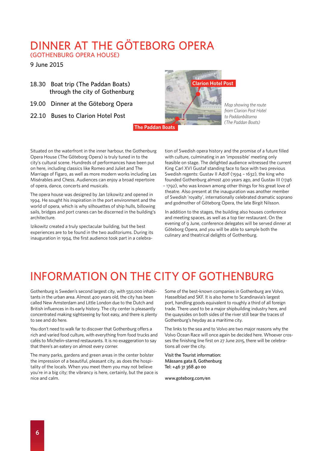# DINNER AT THE GÖTEBORG OPERA

(GOTHENBURG OPERA HOUSE)

9 June 2015

- 18.30 Boat trip (The Paddan Boats) through the city of Gothenburg
- 19.00 Dinner at the Göteborg Opera
- 22.10 Buses to Clarion Hotel Post



*Map showing the route from Clarion Post Hotel to Paddanbåtarna (The Paddan Boats)*

CLARION POST TILL PADDANCE **The Paddan Boats**

Situated on the waterfront in the inner harbour, the Gothenburg Opera House (The Göteborg Opera) is truly tuned in to the city's cultural scene. Hundreds of performances have been put on here, including classics like Romeo and Juliet and The Marriage of Figaro, as well as more modern works including Les Misérables and Chess. Audiences can enjoy a broad repertoire of opera, dance, concerts and musicals.

The opera house was designed by Jan Izikowitz and opened in 1994. He sought his inspiration in the port environment and the world of opera, which is why silhouettes of ship hulls, billowing sails, bridges and port cranes can be discerned in the building's architecture.

Izikowitz created a truly spectacular building, but the best experiences are to be found in the two auditoriums. During its inauguration in 1994, the first audience took part in a celebra-

tion of Swedish opera history and the promise of a future filled with culture, culminating in an 'impossible' meeting only feasible on stage. The delighted audience witnessed the current King Carl XVI Gustaf standing face to face with two previous Swedish regents: Gustav II Adolf (1594 – 1632), the king who founded Gothenburg almost 400 years ago, and Gustav III (1746 – 1792), who was known among other things for his great love of theatre. Also present at the inauguration was another member of Swedish 'royalty', internationally celebrated dramatic soprano and godmother of Göteborg Opera, the late Birgit Nilsson.

In addition to the stages, the building also houses conference and meeting spaces, as well as a top tier restaurant. On the evening of 9 June, conference delegates will be served dinner at Göteborg Opera, and you will be able to sample both the culinary and theatrical delights of Gothenburg.

# INFORMATION ON THE CITY OF GOTHENBURG

Gothenburg is Sweden's second largest city, with 550,000 inhabitants in the urban area. Almost 400 years old, the city has been called New Amsterdam and Little London due to the Dutch and British influences in its early history. The city center is pleasantly concentrated making sightseeing by foot easy, and there is plenty to see and do here.

You don't need to walk far to discover that Gothenburg offers a rich and varied food culture, with everything from food trucks and cafés to Michelin-starred restaurants. It is no exaggeration to say that there's an eatery on almost every corner.

The many parks, gardens and green areas in the center bolster the impression of a beautiful, pleasant city, as does the hospitality of the locals. When you meet them you may not believe you're in a big city; the vibrancy is here, certainly, but the pace is nice and calm.

Some of the best-known companies in Gothenburg are Volvo, Hasselblad and SKF. It is also home to Scandinavia's largest port, handling goods equivalent to roughly a third of all foreign trade. There used to be a major shipbuilding industry here, and the quaysides on both sides of the river still bear the traces of Gothenburg's heyday as a maritime city.

The links to the sea and to Volvo are two major reasons why the Volvo Ocean Race will once again be decided here. Whoever crosses the finishing line first on 27 June 2015, there will be celebrations all over the city.

Visit the Tourist information: Mässans gata 8, Gothenburg Tel: +46 31 368 40 00

www.goteborg.com/en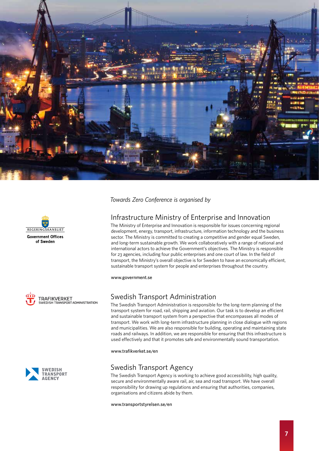







*Towards Zero Conference is organised by*

### Infrastructure Ministry of Enterprise and Innovation

The Ministry of Enterprise and Innovation is responsible for issues concerning regional development, energy, transport, infrastructure, information technology and the business sector. The Ministry is committed to creating a competitive and gender equal Sweden, and long-term sustainable growth. We work collaboratively with a range of national and international actors to achieve the Government's objectives. The Ministry is responsible for 23 agencies, including four public enterprises and one court of law. In the field of transport, the Ministry's overall objective is for Sweden to have an economically efficient, sustainable transport system for people and enterprises throughout the country.

www.government.se

### Swedish Transport Administration

The Swedish Transport Administration is responsible for the long-term planning of the transport system for road, rail, shipping and aviation. Our task is to develop an efficient and sustainable transport system from a perspective that encompasses all modes of transport. We work with long-term infrastructure planning in close dialogue with regions and municipalities. We are also responsible for building, operating and maintaining state roads and railways. In addition, we are responsible for ensuring that this infrastructure is used effectively and that it promotes safe and environmentally sound transportation.

www.trafikverket.se/en

### Swedish Transport Agency

The Swedish Transport Agency is working to achieve good accessibility, high quality, secure and environmentally aware rail, air, sea and road transport. We have overall responsibility for drawing up regulations and ensuring that authorities, companies, organisations and citizens abide by them.

www.transportstyrelsen.se/en